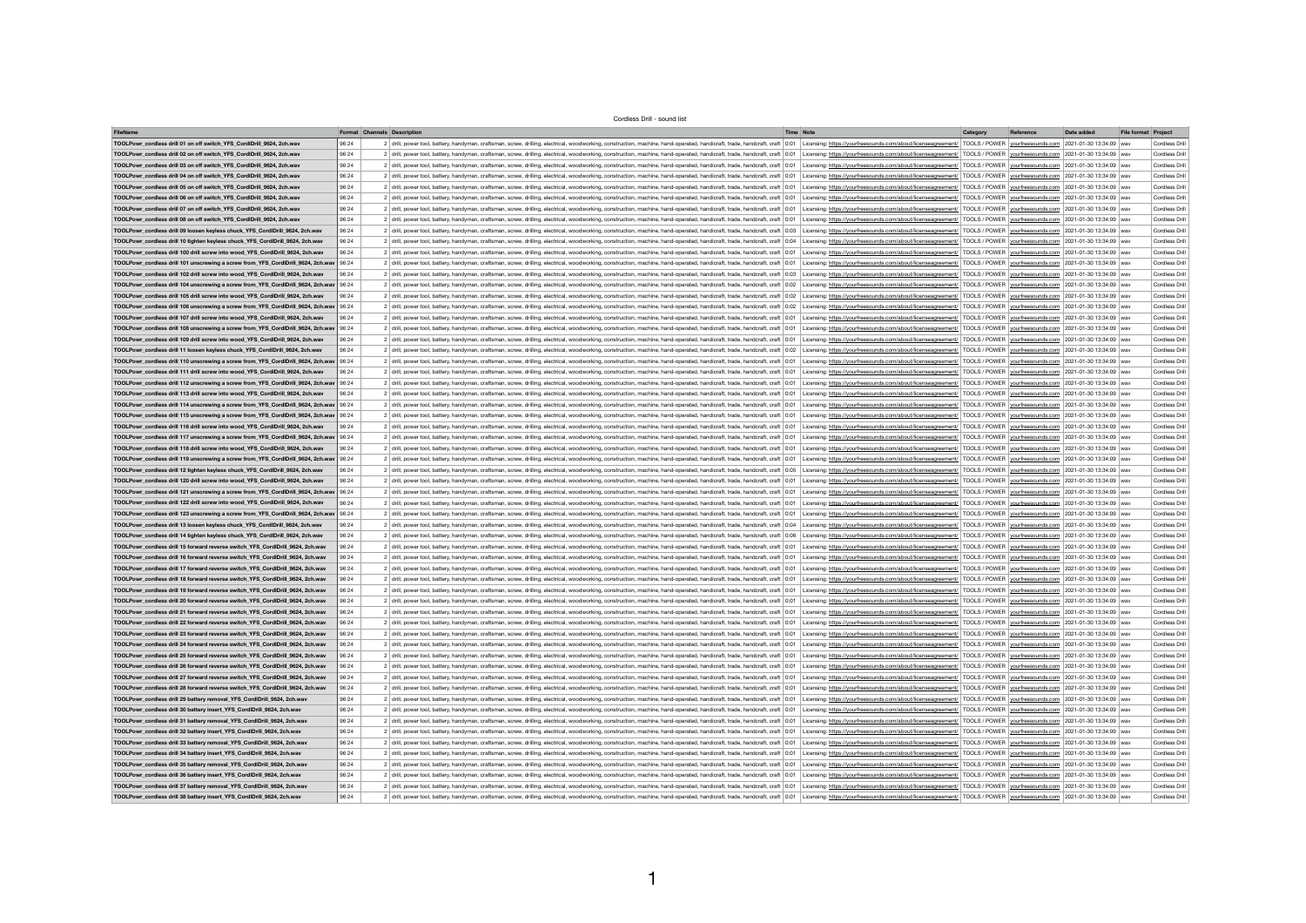## Cordless Drill - sound list

| <b>FileName</b>                                                                          |       | <b>Format Channels Description</b>                                                                                                                                                                                             | <b>Time Note</b> | Category | Reference | Date added                | File format Project   |
|------------------------------------------------------------------------------------------|-------|--------------------------------------------------------------------------------------------------------------------------------------------------------------------------------------------------------------------------------|------------------|----------|-----------|---------------------------|-----------------------|
| TOOLPowr_cordless drill 01 on off switch_YFS_CordIDrill_9624, 2ch.wav                    | 96 24 | 2 drill, power tool, battery, handyman, craftsman, screw, drilling, electrical, woodworking, construction, machine, hand-operated, handicraft, trade, handcraft, craft 0:01 Licensing: https://yourfreesounds.com/about/licens |                  |          |           | 2021-01-30 13:34:09   wav | <b>Cordless Drill</b> |
| TOOLPowr_cordless drill 02 on off switch_YFS_CordIDrill_9624, 2ch.wav                    | 96 24 | 2 drill, power tool, battery, handyman, craftsman, screw, drilling, electrical, woodworking, construction, machine, hand-operated, handicraft, trade, handcraft, craft   0:01   Licensing: https://yourfreesounds.com/about/li |                  |          |           |                           | <b>Cordless Drill</b> |
| TOOLPowr_cordless drill 03 on off switch_YFS_CordIDrill_9624, 2ch.wav                    | 96 24 | 2 drill, power tool, battery, handyman, craftsman, screw, drilling, electrical, woodworking, construction, machine, hand-operated, handicraft, trade, handcraft, craft 0:01 Licensing: https://yourfreesounds.com/about/licens |                  |          |           |                           | <b>Cordless Drill</b> |
| TOOLPowr_cordless drill 04 on off switch_YFS_CordlDrill_9624, 2ch.wav                    | 96 24 | 2 drill, power tool, battery, handyman, craftsman, screw, drilling, electrical, woodworking, construction, machine, hand-operated, handicraft, trade, handcraft, craft   0:01   Licensing: https://yourfreesounds.com/about/li |                  |          |           |                           | <b>Cordless Drill</b> |
| TOOLPowr cordless drill 05 on off switch YFS CordIDrill 9624, 2ch.wav                    | 96 24 | 2 drill, power tool, battery, handyman, craftsman, screw, drilling, electrical, woodworking, construction, machine, hand-operated, handicraft, trade, handcraft, craft   0:01   Licensing: https://yourfreesounds.com/about/li |                  |          |           |                           | <b>Cordless Drill</b> |
| TOOLPowr_cordless drill 06 on off switch_YFS_CordIDrill_9624, 2ch.wav                    | 96 24 | 2 drill, power tool, battery, handyman, craftsman, screw, drilling, electrical, woodworking, construction, machine, hand-operated, handicraft, trade, handcraft, craft 0:01 Licensing: https://yourfreesounds.com/about/licens |                  |          |           |                           | <b>Cordless Drill</b> |
| TOOLPowr_cordless drill 07 on off switch_YFS_CordIDrill_9624, 2ch.wav                    | 96 24 | 2 drill, power tool, battery, handyman, craftsman, screw, drilling, electrical, woodworking, construction, machine, hand-operated, handicraft, trade, handcraft, craft 0:01 Licensing: https://yourfreesounds.com/about/licens |                  |          |           |                           | <b>Cordless Drill</b> |
| TOOLPowr_cordless drill 08 on off switch_YFS_CordIDrill_9624, 2ch.wav                    | 96 24 | 2 drill, power tool, battery, handyman, craftsman, screw, drilling, electrical, woodworking, construction, machine, hand-operated, handicraft, trade, handcraft, craft 0:01 Licensing: https://yourfreesounds.com/about/licens |                  |          |           |                           | <b>Cordless Drill</b> |
| TOOLPowr_cordless drill 09 loosen keyless chuck_YFS_CordIDrill_9624, 2ch.wav             | 96 24 | 2 drill, power tool, battery, handyman, craftsman, screw, drilling, electrical, woodworking, construction, machine, hand-operated, handicraft, trade, handcraft, craft 0:03 Licensing: https://yourfreesounds.com/about/licens |                  |          |           |                           | <b>Cordless Drill</b> |
| TOOLPowr_cordless drill 10 tighten keyless chuck_YFS_CordlDrill_9624, 2ch.wav            | 96 24 | 2 drill, power tool, battery, handyman, craftsman, screw, drilling, electrical, woodworking, construction, machine, hand-operated, handicraft, trade, handcraft, craft 0:04 Licensing: https://yourfreesounds.com/about/licens |                  |          |           |                           | <b>Cordless Drill</b> |
| TOOLPowr_cordless drill 100 drill screw into wood_YFS_CordIDrill_9624, 2ch.wav           | 9624  | 2 drill, power tool, battery, handyman, craftsman, screw, drilling, electrical, woodworking, construction, machine, hand-operated, handicraft, trade, handcraft, craft   0:01   Licensing: https://yourfreesounds.com/about/li |                  |          |           |                           | <b>Cordless Drill</b> |
| TOOLPowr_cordless drill 101 unscrewing a screw from_YFS_CordIDrill_9624, 2ch.wav   96 24 |       | 2 drill, power tool, battery, handyman, craftsman, screw, drilling, electrical, woodworking, construction, machine, hand-operated, handicraft, trade, handcraft, craft   0:01   Licensing: https://yourfreesounds.com/about/li |                  |          |           |                           | <b>Cordless Drill</b> |
| TOOLPowr cordless drill 102 drill screw into wood YFS CordIDrill 9624, 2ch.wav           | 96 24 | 2 drill, power tool, battery, handyman, craftsman, screw, drilling, electrical, woodworking, construction, machine, hand-operated, handicraft, trade, handcraft, craft   0:03   Licensing: https://yourfreesounds.com/about/li |                  |          |           |                           | <b>Cordless Drill</b> |
| TOOLPowr_cordless drill 104 unscrewing a screw from_YFS_CordIDrill_9624, 2ch.wav   96 24 |       | 2 drill, power tool, battery, handyman, craftsman, screw, drilling, electrical, woodworking, construction, machine, hand-operated, handicraft, trade, handcraft, craft   0:02   Licensing: https://yourfreesounds.com/about/li |                  |          |           |                           | <b>Cordless Drill</b> |
| TOOLPowr_cordless drill 105 drill screw into wood_YFS_CordIDrill_9624, 2ch.wav           | 9624  | 2 drill, power tool, battery, handyman, craftsman, screw, drilling, electrical, woodworking, construction, machine, hand-operated, handicraft, trade, handcraft, craft   0:02   Licensing: https://yourfreesounds.com/about/li |                  |          |           |                           | <b>Cordless Drill</b> |
| TOOLPowr_cordless drill 106 unscrewing a screw from_YFS_CordIDrill_9624, 2ch.wav   96 24 |       | 2 drill, power tool, battery, handyman, craftsman, screw, drilling, electrical, woodworking, construction, machine, hand-operated, handicraft, trade, handcraft, craft 0:02 Licensing: https://yourfreesounds.com/about/licens |                  |          |           |                           | <b>Cordless Drill</b> |
| TOOLPowr_cordless drill 107 drill screw into wood_YFS_CordlDrill_9624, 2ch.wav           | 9624  | 2 drill, power tool, battery, handyman, craftsman, screw, drilling, electrical, woodworking, construction, machine, hand-operated, handicraft, trade, handcraft, craft   0:01   Licensing: https://yourfreesounds.com/about/li |                  |          |           |                           | <b>Cordless Drill</b> |
| TOOLPowr_cordless drill 108 unscrewing a screw from_YFS_CordIDrill_9624, 2ch.wav   96 24 |       | 2 drill, power tool, battery, handyman, craftsman, screw, drilling, electrical, woodworking, construction, machine, hand-operated, handicraft, trade, handcraft, craft 0:01 Licensing: https://yourfreesounds.com/about/licens |                  |          |           |                           | <b>Cordless Drill</b> |
| TOOLPowr_cordless drill 109 drill screw into wood_YFS_CordlDrill_9624, 2ch.wav           | 9624  | 2 drill, power tool, battery, handyman, craftsman, screw, drilling, electrical, woodworking, construction, machine, hand-operated, handicraft, trade, handcraft, craft 0:01 Licensing: https://yourfreesounds.com/about/licens |                  |          |           |                           | <b>Cordless Drill</b> |
| TOOLPowr_cordless drill 11 loosen keyless chuck_YFS_CordlDrill_9624, 2ch.wav             | 9624  | 2 drill, power tool, battery, handyman, craftsman, screw, drilling, electrical, woodworking, construction, machine, hand-operated, handicraft, trade, handcraft, craft 0:02 Licensing: https://yourfreesounds.com/about/licens |                  |          |           |                           | <b>Cordless Drill</b> |
| TOOLPowr_cordless drill 110 unscrewing a screw from_YFS_CordIDrill_9624, 2ch.wav   96 24 |       | 2 drill, power tool, battery, handyman, craftsman, screw, drilling, electrical, woodworking, construction, machine, hand-operated, handicraft, trade, handcraft, craft   0:01   Licensing: https://yourfreesounds.com/about/li |                  |          |           |                           | <b>Cordless Drill</b> |
| TOOLPowr_cordless drill 111 drill screw into wood_YFS_CordIDrill_9624, 2ch.wav           | 96 24 | 2 drill, power tool, battery, handyman, craftsman, screw, drilling, electrical, woodworking, construction, machine, hand-operated, handicraft, trade, handcraft, craft   0:01   Licensing: https://yourfreesounds.com/about/li |                  |          |           |                           | <b>Cordless Drill</b> |
| TOOLPowr_cordless drill 112 unscrewing a screw from_YFS_CordIDrill_9624, 2ch.wav   96 24 |       | 2 drill, power tool, battery, handyman, craftsman, screw, drilling, electrical, woodworking, construction, machine, hand-operated, handicraft, craft, craft, craft, craft 0:01   Licensing: https://yourfreesounds.com/about/l |                  |          |           |                           | <b>Cordless Drill</b> |
| TOOLPowr_cordless drill 113 drill screw into wood_YFS_CordIDrill_9624, 2ch.wav           | 96 24 | 2 drill, power tool, battery, handyman, craftsman, screw, drilling, electrical, woodworking, construction, machine, hand-operated, handicraft, trade, handcraft, craft   0:01   Licensing: https://yourfreesounds.com/about/li |                  |          |           |                           | <b>Cordless Drill</b> |
| TOOLPowr_cordless drill 114 unscrewing a screw from_YFS_CordIDrill_9624, 2ch.wav   96 24 |       | 2 drill, power tool, battery, handyman, craftsman, screw, drilling, electrical, woodworking, construction, machine, hand-operated, handicraft, trade, handcraft, craft 0:01 Licensing: https://yourfreesounds.com/about/licens |                  |          |           |                           | <b>Cordless Drill</b> |
| TOOLPowr_cordless drill 115 unscrewing a screw from_YFS_CordIDrill_9624, 2ch.wav   96 24 |       | 2 drill, power tool, battery, handyman, craftsman, screw, drilling, electrical, woodworking, construction, machine, hand-operated, handicraft, trade, handcraft, craft 0:01 Licensing: https://yourfreesounds.com/about/licens |                  |          |           |                           | <b>Cordless Drill</b> |
| TOOLPowr_cordless drill 116 drill screw into wood_YFS_CordIDrill_9624, 2ch.wav           | 96 24 | 2 drill, power tool, battery, handyman, craftsman, screw, drilling, electrical, woodworking, construction, machine, hand-operated, handicraft, trade, handcraft, craft   0:01   Licensing: https://yourfreesounds.com/about/li |                  |          |           |                           | <b>Cordless Drill</b> |
| TOOLPowr_cordless drill 117 unscrewing a screw from_YFS_CordIDrill_9624, 2ch.wav   96 24 |       | 2 drill, power tool, battery, handyman, craftsman, screw, drilling, electrical, woodworking, construction, machine, hand-operated, handicraft, trade, handcraft, craft 0:01 Licensing: https://yourfreesounds.com/about/licens |                  |          |           |                           | <b>Cordless Drill</b> |
| TOOLPowr_cordless drill 118 drill screw into wood_YFS_CordIDrill_9624, 2ch.wav           | 96 24 | 2 drill, power tool, battery, handyman, craftsman, screw, drilling, electrical, woodworking, construction, machine, hand-operated, handicraft, trade, handcraft, craft   0:01   Licensing: https://yourfreesounds.com/about/li |                  |          |           |                           | <b>Cordless Drill</b> |
| TOOLPowr_cordless drill 119 unscrewing a screw from_YFS_CordIDrill_9624, 2ch.wav   96 24 |       | 2 drill, power tool, battery, handyman, craftsman, screw, drilling, electrical, woodworking, construction, machine, hand-operated, handicraft, trade, handcraft, craft   0:01   Licensing: https://yourfreesounds.com/about/li |                  |          |           |                           | <b>Cordless Drill</b> |
| TOOLPowr_cordless drill 12 tighten keyless chuck_YFS_CordIDrill_9624, 2ch.wav            | 96 24 | 2 drill, power tool, battery, handyman, craftsman, screw, drilling, electrical, woodworking, construction, machine, hand-operated, handicraft, trade, handcraft, craft 0:05 Licensing: https://yourfreesounds.com/about/licens |                  |          |           |                           | <b>Cordless Drill</b> |
| TOOLPowr_cordless drill 120 drill screw into wood_YFS_CordIDrill_9624, 2ch.wav           | 96 24 | 2 drill, power tool, battery, handyman, craftsman, screw, drilling, electrical, woodworking, construction, machine, hand-operated, handicraft, trade, handcraft, craft 0:01 Licensing: https://yourfreesounds.com/about/licens |                  |          |           |                           | <b>Cordless Drill</b> |
| TOOLPowr_cordless drill 121 unscrewing a screw from_YFS_CordIDrill_9624, 2ch.wav   96 24 |       | 2 drill, power tool, battery, handyman, craftsman, screw, drilling, electrical, woodworking, construction, machine, hand-operated, handicraft, trade, handcraft, craft 0:01 Licensing: https://yourfreesounds.com/about/licens |                  |          |           |                           | <b>Cordless Drill</b> |
| TOOLPowr_cordless drill 122 drill screw into wood_YFS_CordIDrill_9624, 2ch.wav           | 96 24 | 2 drill, power tool, battery, handyman, craftsman, screw, drilling, electrical, woodworking, construction, machine, hand-operated, handicraft, craft 0:01 Licensing: https://yourfreesounds.com/about/licenseagreement/ TOOLS  |                  |          |           |                           | <b>Cordless Drill</b> |
| TOOLPowr_cordless drill 123 unscrewing a screw from_YFS_CordIDrill_9624, 2ch.wav   96 24 |       | 2 drill, power tool, battery, handyman, craftsman, screw, drilling, electrical, woodworking, construction, machine, hand-operated, handicraft, trade, handcraft, craft 0:01 Licensing: https://yourfreesounds.com/about/licens |                  |          |           |                           | <b>Cordless Drill</b> |
| TOOLPowr_cordless drill 13 loosen keyless chuck_YFS_CordlDrill_9624, 2ch.wav             | 9624  | 2 drill, power tool, battery, handyman, craftsman, screw, drilling, electrical, woodworking, construction, machine, hand-operated, handicraft, trade, handcraft, craft 0:04 Licensing: https://yourfreesounds.com/about/licens |                  |          |           |                           | <b>Cordless Drill</b> |
| TOOLPowr_cordless drill 14 tighten keyless chuck_YFS_CordIDrill_9624, 2ch.wav            | 96 24 | 2 drill, power tool, battery, handyman, craftsman, screw, drilling, electrical, woodworking, construction, machine, hand-operated, handicraft, craft, craft, craft, craft, craft, com/about/licenseagreement/ TOOLS / POWER vo |                  |          |           |                           | <b>Cordless Drill</b> |
| TOOLPowr_cordless drill 15 forward reverse switch_YFS_CordIDrill_9624, 2ch.wav           | 9624  | 2 drill, power tool, battery, handyman, craftsman, screw, drilling, electrical, woodworking, construction, machine, hand-operated, handicraft, trade, handcraft, craft 0:01 Licensing: https://yourfreesounds.com/about/licens |                  |          |           |                           | <b>Cordless Drill</b> |
| TOOLPowr_cordless drill 16 forward reverse switch_YFS_CordIDrill_9624, 2ch.wav           | 9624  | 2 drill, power tool, battery, handyman, craftsman, screw, drilling, electrical, woodworking, construction, machine, hand-operated, handicraft, trade, handcraft, craft   0:01   Licensing: https://yourfreesounds.com/about/li |                  |          |           |                           | <b>Cordless Drill</b> |
| TOOLPowr_cordless drill 17 forward reverse switch_YFS_CordlDrill_9624, 2ch.wav           | 96 24 | 2 drill, power tool, battery, handyman, craftsman, screw, drilling, electrical, woodworking, construction, machine, hand-operated, handicraft, trade, handcraft, craft 0:01 Licensing: https://yourfreesounds.com/about/licens |                  |          |           |                           | <b>Cordless Drill</b> |
| TOOLPowr_cordless drill 18 forward reverse switch_YFS_CordIDrill_9624, 2ch.wav           | 9624  | 2 drill, power tool, battery, handyman, craftsman, screw, drilling, electrical, woodworking, construction, machine, hand-operated, handicraft, trade, handcraft, craft 0:01 Licensing: https://yourfreesounds.com/about/licens |                  |          |           |                           | <b>Cordless Drill</b> |
| TOOLPowr_cordless drill 19 forward reverse switch_YFS_CordIDrill_9624, 2ch.wav           | 9624  | 2 drill, power tool, battery, handyman, craftsman, screw, drilling, electrical, woodworking, construction, machine, hand-operated, handicraft, trade, handcraft, craft 0:01 Licensing: https://yourfreesounds.com/about/licens |                  |          |           |                           | <b>Cordless Drill</b> |
| TOOLPowr_cordless drill 20 forward reverse switch_YFS_CordIDrill_9624, 2ch.wav           | 96 24 | 2 drill, power tool, battery, handyman, craftsman, screw, drilling, electrical, woodworking, construction, machine, hand-operated, handicraft, trade, handcraft, craft, craft, craft 0:01 Licensing: https://yourfreesounds.co |                  |          |           |                           | <b>Cordless Drill</b> |
| TOOLPowr_cordless drill 21 forward reverse switch_YFS_CordIDrill_9624, 2ch.wav           | 96 24 | 2 drill, power tool, battery, handyman, craftsman, screw, drilling, electrical, woodworking, construction, machine, hand-operated, handicraft, trade, handcraft, craft 0:01 Licensing: https://yourfreesounds.com/about/licens |                  |          |           |                           | <b>Cordless Drill</b> |
| TOOLPowr_cordless drill 22 forward reverse switch_YFS_CordIDrill_9624, 2ch.wav           | 96 24 | 2 drill, power tool, battery, handyman, craftsman, screw, drilling, electrical, woodworking, construction, machine, hand-operated, handicraft, trade, handcraft, craft 0:01 Licensing: https://yourfreesounds.com/about/licens |                  |          |           |                           | <b>Cordless Drill</b> |
| TOOLPowr_cordless drill 23 forward reverse switch_YFS_CordlDrill_9624, 2ch.wav           | 96 24 | 2 drill, power tool, battery, handyman, craftsman, screw, drilling, electrical, woodworking, construction, machine, hand-operated, handicraft, trade, handcraft, craft 0:01 Licensing: https://yourfreesounds.com/about/licens |                  |          |           |                           | <b>Cordless Drill</b> |
| TOOLPowr_cordless drill 24 forward reverse switch_YFS_CordIDrill_9624, 2ch.wav           | 96 24 | 2 drill, power tool, battery, handyman, craftsman, screw, drilling, electrical, woodworking, construction, machine, hand-operated, handicraft, trade, handcraft, craft   0:01   Licensing: https://yourfreesounds.com/about/li |                  |          |           |                           | <b>Cordless Drill</b> |
| TOOLPowr_cordless drill 25 forward reverse switch_YFS_CordIDrill_9624, 2ch.wav           | 9624  | 2 drill, power tool, battery, handyman, craftsman, screw, drilling, electrical, woodworking, construction, machine, hand-operated, handicraft, trade, handcraft, craft 0:01 Licensing: https://yourfreesounds.com/about/licens |                  |          |           |                           | <b>Cordless Drill</b> |
| TOOLPowr cordless drill 26 forward reverse switch YFS CordIDrill 9624, 2ch.wav           | 96 24 | 2 drill, power tool, battery, handyman, craftsman, screw, drilling, electrical, woodworking, construction, machine, hand-operated, handicraft, trade, handcraft, craft   0:01   Licensing: https://yourfreesounds.com/about/li |                  |          |           |                           | <b>Cordless Drill</b> |
| TOOLPowr_cordless drill 27 forward reverse switch_YFS_CordlDrill_9624, 2ch.wav           | 96 24 | 2 drill, power tool, battery, handyman, craftsman, screw, drilling, electrical, woodworking, construction, machine, hand-operated, handicraft, trade, handcraft, craft   0:01   Licensing: https://yourfreesounds.com/about/li |                  |          |           |                           | <b>Cordless Drill</b> |
| TOOLPowr_cordless drill 28 forward reverse switch_YFS_CordIDrill_9624, 2ch.wav           | 9624  | 2 drill, power tool, battery, handyman, craftsman, screw, drilling, electrical, woodworking, construction, machine, hand-operated, handicraft, trade, handcraft, craft 0:01 Licensing: https://yourfreesounds.com/about/licens |                  |          |           |                           | <b>Cordless Drill</b> |
| TOOLPowr_cordless drill 29 battery removal_YFS_CordIDrill_9624, 2ch.wav                  | 96 24 | 2 drill, power tool, battery, handyman, craftsman, screw, drilling, electrical, woodworking, construction, machine, hand-operated, handicraft, trade, handcraft, craft   0:01   Licensing: https://yourfreesounds.com/about/li |                  |          |           |                           | <b>Cordless Drill</b> |
| TOOLPowr_cordless drill 30 battery insert_YFS_CordIDrill_9624, 2ch.wav                   | 96 24 | 2 drill, power tool, battery, handyman, craftsman, screw, drilling, electrical, woodworking, construction, machine, hand-operated, handicraft, trade, handcraft, craft   0:01   Licensing: https://yourfreesounds.com/about/li |                  |          |           |                           | <b>Cordless Drill</b> |
| TOOLPowr_cordless drill 31 battery removal_YFS_CordIDrill_9624, 2ch.wav                  | 96 24 | 2 drill, power tool, battery, handyman, craftsman, screw, drilling, electrical, woodworking, construction, machine, hand-operated, handicraft, craft 0:01 Licensing: https://yourfreesounds.com/about/licenseagreement/ TOOLS  |                  |          |           |                           | <b>Cordless Drill</b> |
| TOOLPowr_cordless drill 32 battery insert_YFS_CordIDrill_9624, 2ch.wav                   | 96 24 | 2 drill, power tool, battery, handyman, craftsman, screw, drilling, electrical, woodworking, construction, machine, hand-operated, handicraft, trade, handcraft, craft 0:01 Licensing: https://yourfreesounds.com/about/licens |                  |          |           |                           | <b>Cordless Drill</b> |
| TOOLPowr_cordless drill 33 battery removal_YFS_CordIDrill_9624, 2ch.wav                  | 96 24 | 2 drill, power tool, battery, handyman, craftsman, screw, drilling, electrical, woodworking, construction, machine, hand-operated, handicraft, trade, handcraft, craft   0:01   Licensing: https://yourfreesounds.com/about/li |                  |          |           |                           | <b>Cordless Drill</b> |
| TOOLPowr_cordless drill 34 battery insert_YFS_CordlDrill_9624, 2ch.wav                   | 96 24 | 2 drill, power tool, battery, handyman, craftsman, screw, drilling, electrical, woodworking, construction, machine, hand-operated, handicraft, trade, handcraft, craft 0:01 Licensing: https://yourfreesounds.com/about/licens |                  |          |           |                           | <b>Cordless Drill</b> |
| TOOLPowr_cordless drill 35 battery removal_YFS_CordIDrill_9624, 2ch.wav                  | 96 24 | 2 drill, power tool, battery, handyman, craftsman, screw, drilling, electrical, woodworking, construction, machine, hand-operated, handicraft, trade, handcraft, craft 0:01 Licensing: https://yourfreesounds.com/about/licens |                  |          |           |                           | <b>Cordless Drill</b> |
| TOOLPowr_cordless drill 36 battery insert_YFS_CordlDrill_9624, 2ch.wav                   | 96 24 | 2 drill, power tool, battery, handyman, craftsman, screw, drilling, electrical, woodworking, construction, machine, hand-operated, handicraft, trade, handcraft, craft 0:01 Licensing: https://yourfreesounds.com/about/licens |                  |          |           |                           | <b>Cordless Drill</b> |
| TOOLPowr_cordless drill 37 battery removal_YFS_CordIDrill_9624, 2ch.wav                  | 96 24 | 2 drill, power tool, battery, handyman, craftsman, screw, drilling, electrical, woodworking, construction, machine, hand-operated, handicraft, trade, handcraft, craft 0:01 Licensing: https://yourfreesounds.com/about/licens |                  |          |           |                           | <b>Cordless Drill</b> |
| TOOLPowr_cordless drill 38 battery insert_YFS_CordIDrill_9624, 2ch.wav                   | 96 24 | 2 drill, power tool, battery, handyman, craftsman, screw, drilling, electrical, woodworking, construction, machine, hand-operated, handicraft, trade, handcraft, craft   0:01   Licensing: https://yourfreesounds.com/about/li |                  |          |           |                           | <b>Cordless Drill</b> |

1